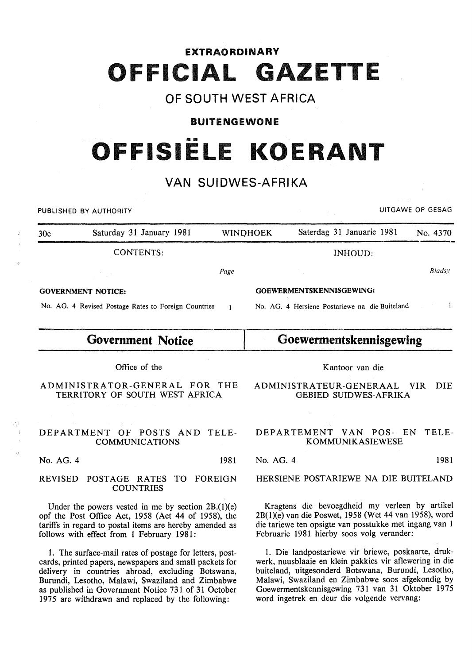# **EXTRAORDINARY OFFICIAL G ETTE**

### **OF SOUTH WEST AFRICA**

#### **BUITENGEWONE**

# .... **OFFISIELE KOERANT**

## **VAN SUIDWES-AFRIKA**

PUBLISHED BY AUTHORITY **EXECUTE A SECURE 2018 THE SECURE 2019 OF SESAGREER AND SECURE 2019** 30c Saturday 31 January 1981 WINDHOEK Saterdag 31 Januarie 1981 No. 4370 CONTENTS: INHOUD: *B/adsy Page*  GOVERNMENT NOTICE: GOEWERMENTSKENNISGEWING: No. AG. 4 Revised Postage Rates to Foreign Countries  $\mathbf{1}$ No. AG. 4 Hersiene Postariewe na die Buiteland  $\mathbf{I}$ **Government Notice Goewermentskennisgewing**  Office of the Kantoor van die ADMINISTRATOR-GENERAL FOR THE ADMINISTRATEUR-GENERAAL VIR DIE TERRITORY OF SOUTH WEST AFRICA GEBIED SUIDWES-AFRIKA DEPARTMENT OF POSTS AND TELE-DEPARTEMENT VAN POS- EN TELE-COMMUNICATIONS KOMMUNIKASIEWESE No. AG. 4 1981 No. AG. 4 1981 HERSIENE POSTARIEWE NA DIE BUITELAND REVISED POSTAGE RATES TO FOREIGN COUNTRIES Kragtens die bevoegdheid my verleen by artikel Under the powers vested in me by section  $2B(1)(e)$ 2B(l)(e) van die Poswet, 1958 (Wet 44 van 1958), word opf the Post Office Act, 1958 (Act 44 of 1958), the die tariewe ten opsigte van posstukke met ingang van 1 tariffs in regard to postal items are hereby amended as follows with effect from 1 February 1981: Februarie 1981 hierby soos volg verander: l. Die landpostariewe vir briewe, poskaarte, druk-1. The surface-mail rates of postage for letters, postwerk, nuusblaaie en klein pakkies vir aflewering in die cards, printed papers, newspapers and small packets for buiteland, uitgesonderd Botswana, Burundi, Lesotho, delivery in countries abroad, excluding Botswana, Malawi, Swaziland en Zimbabwe soos afgekondig by Burundi, Lesotho, Malawi, Swaziland and Zimbabwe Goewermentskennisgewing 731 van 31 Oktober 1975 as published in Government Notice 731 of 31 October 1975 are withdrawn and replaced by the following: word ingetrek en deur die volgende vervang: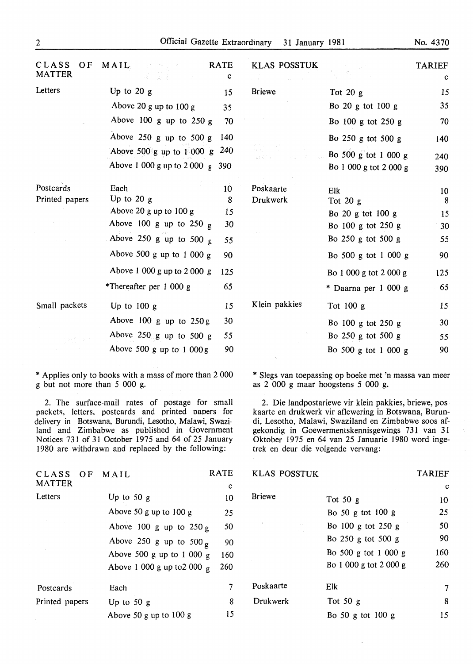|  | No. | 4370 |  |
|--|-----|------|--|
|--|-----|------|--|

| CLASS<br>OF.<br><b>MATTER</b> | MAIL<br>医肾炎 网络运                             | <b>RATE</b><br>$\mathbf C$ | <b>KLAS POSSTUK</b> |                        | <b>TARIEF</b><br>$\mathbf{c}$ |
|-------------------------------|---------------------------------------------|----------------------------|---------------------|------------------------|-------------------------------|
| Letters                       | Up to $20 g$                                | 15                         | <b>Briewe</b>       | Tot $20 g$             | 15                            |
|                               | Above 20 g up to 100 g                      | 35                         |                     | Bo 20 g tot 100 g      | 35                            |
|                               | Above 100 g up to $250 g$                   | 70                         |                     | Bo 100 g tot 250 g     | 70                            |
|                               | Above 250 g up to 500 g                     | 140                        |                     | Bo $250$ g tot $500$ g | 140                           |
|                               | Above 500 g up to $1\,000$ g 240            |                            |                     | Bo 500 g tot 1 000 g   | 240                           |
|                               | Above 1 000 g up to 2 000 $\frac{1}{2}$ 390 |                            |                     | Bo 1 000 g tot 2 000 g | 390                           |
| Postcards                     | Each                                        | 10                         | Poskaarte           | Elk                    | 10                            |
| Printed papers                | Up to $20 g$                                | 8                          | Drukwerk            | Tot $20g$              | 8                             |
|                               | Above 20 g up to 100 g                      | 15                         |                     | Bo 20 g tot 100 g      | 15                            |
|                               | Above 100 g up to 250 $\sigma$              | 30                         |                     | Bo 100 g tot 250 g     | 30                            |
|                               | Above 250 g up to 500 g                     | 55 <sub>5</sub>            |                     | Bo 250 g tot 500 g     | 55                            |
|                               | Above 500 g up to 1 000 g                   | 90                         |                     | Bo 500 g tot 1 000 g   | 90                            |
|                               | Above 1 000 g up to 2 000 g                 | 125                        |                     | Bo 1 000 g tot 2 000 g | 125                           |
|                               | *Thereafter per 1 000 g                     | 65                         |                     | * Daarna per 1 000 g   | 65                            |
| Small packets                 | Up to $100 g$                               | 15                         | Klein pakkies       | Tot $100 g$            | 15                            |
|                               | Above $100 g$ up to $250 g$                 | 30                         |                     | Bo 100 g tot 250 g     | 30                            |
|                               | Above 250 g up to 500 g                     | 55                         |                     | Bo 250 g tot 500 g     | 55                            |
|                               | Above 500 g up to $1000g$                   | 90                         |                     | Bo 500 g tot 1 000 g   | 90                            |

\*Applies only to books with a mass of more than 2 000 g but not more than 5 000 g.

2. The surface-mail rates of postage for small packets, letters, postcards and printed oaoers for delivery in Botswana, Burundi, Lesotho, Malawi, Swaziland and Zimbabwe as published in Government Notices 731 of 31 October 1975 and 64 of 25 January 1980 are withdrawn and replaced by the following:

| CLASS          | OF | MAIL                        | <b>RATE</b> |
|----------------|----|-----------------------------|-------------|
| <b>MATTER</b>  |    |                             | c           |
| Letters        |    | Up to $50 g$                | 10          |
|                |    | Above 50 g up to 100 g      | 25          |
|                |    | Above 100 g up to $250 g$   | 50          |
|                |    | Above 250 g up to 500 g     | 90          |
|                |    | Above 500 g up to 1 000 g   | 160         |
|                |    | Above 1 000 g up to 2 000 g | 260         |
| Postcards      |    | Each                        | 7           |
| Printed papers |    | Up to $50 g$                | 8           |
|                |    | Above 50 g up to 100 g      | 15          |

\* Slegs van toepassing op boeke met 'n massa van meer as 2 000 g maar hoogstens 5 000 g.

2. Die landpostariewe vir klein pakkies, briewe, poskaarte en drukwerk vir aflewering in Botswana, Burundi, Lesotho, Malawi, Swaziland en Zimbabwe soos afgekondig in Goewermentskennisgewings 731 van 31 Oktober 1975 en 64 van 25 Januarie 1980 word ingetrek en deur die volgende vervang:

| <b>KLAS POSSTUK</b> |                        | <b>TARIEF</b> |
|---------------------|------------------------|---------------|
|                     |                        | с             |
| <b>Briewe</b>       | Tot 50 $g$             | 10            |
|                     | Bo 50 g tot $100$ g    | 25            |
| ÷                   | Bo $100$ g tot $250$ g | 50            |
|                     | Bo $250$ g tot $500$ g | 90            |
|                     | Bo 500 g tot 1 000 g   | 160           |
|                     | Bo 1 000 g tot 2 000 g | 260           |
|                     |                        |               |
| Poskaarte           | Elk.                   | 7             |
| Drukwerk            | Tot 50 $g$             | 8             |
|                     | Bo 50 g tot 100 g      | 15            |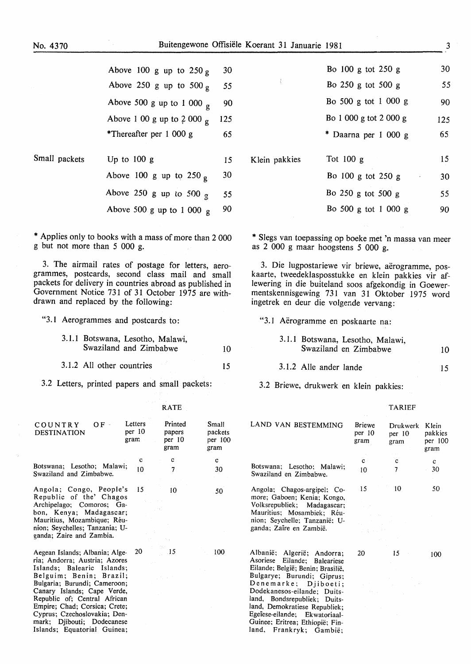|               | Above 100 g up to $250 g$          | 30  |
|---------------|------------------------------------|-----|
|               | Above 250 g up to 500 g            | 55  |
|               | Above 500 g up to 1 000 $_{\rm g}$ | 90  |
|               | Above 1 00 g up to 2 000 g         | 125 |
|               | *Thereafter per 1 000 g            | 65  |
| Small packets | Up to $100 g$                      | 15  |
|               | Above 100 g up to 250 g            | 30  |
|               | Above 250 g up to 500 g            | 55  |
|               | Above 500 g up to 1 000 g          | 90  |

\* Applies only to books with a mass of more than 2 000 g but not more than 5 000 g.

3. The airmail rates of postage for letters, aerogrammes, postcards, second class mail and small packets for delivery in countries abroad as published in Government Notice 731 of 31 October 1975 are withdrawn and replaced by the following:

"3.1 Aerogrammes and postcards to:

|  | 3.1.1 Botswana, Lesotho, Malawi, |    |
|--|----------------------------------|----|
|  | Swaziland and Zimbabwe           | 10 |

3.1.2 All other countries 15

3.2 Letters, printed papers and small packets:

| OF -<br>COUNTRY<br><b>DESTINATION</b>                                                                                                                                                                                                                                                                                  | Letters<br>per 10<br>gram | Printed<br>papers<br>per 10<br>gram | Small<br>packets<br>per 100<br>gram |
|------------------------------------------------------------------------------------------------------------------------------------------------------------------------------------------------------------------------------------------------------------------------------------------------------------------------|---------------------------|-------------------------------------|-------------------------------------|
|                                                                                                                                                                                                                                                                                                                        | с                         | c                                   | c                                   |
| Botswana; Lesotho; Malawi;<br>Swaziland and Zimbabwe.                                                                                                                                                                                                                                                                  | 10                        | 7 <sub>1</sub>                      | 30                                  |
| Angola; Congo, People's<br>Republic of the' Chagos<br>Archipelago; Comoros; Ga-<br>bon, Kenya; Madagascar;<br>Mauritius, Mozambique; Réu-<br>nion; Seychelles; Tanzania; U-<br>ganda; Zaire and Zambia.                                                                                                                | 15                        | 10                                  | 50                                  |
| Aegean Islands; Albania; Alge-<br>ria; Andorra; Austria; Azores<br>Islands; Balearic Islands;<br>Belguim: Benin; Brazil;<br>Bulgaria; Burundi; Cameroon;<br>Canary Islands; Cape Verde,<br>Republic of; Central African<br>Empire; Chad; Corsica; Crete;<br>Cyprus; Czechoslovakia; Den-<br>mark; Djibouti; Dodecanese | 20                        | $\overline{.15}$                    | 100                                 |

Islands; Equatorial Guinea;

|               | Bo 100 g tot 250 g     | 30  |
|---------------|------------------------|-----|
| ţ             | Bo 250 g tot 500 g     | 55  |
|               | Bo 500 g tot 1 000 g   | 90  |
|               | Bo 1 000 g tot 2 000 g | 125 |
|               | * Daarna per 1 000 g   | 65  |
| Klein pakkies | Tot $100 g$            | 15  |
|               | Bo 100 g tot 250 g     | 30  |
|               | Bo 250 g tot 500 g     | 55  |
|               | Bo 500 g tot 1 000 g   | 90  |
|               |                        |     |

\* Slegs van toepassing op boeke met 'n massa van meer as 2 000 g maar hoogstens 5 000 g.

3. Die lugpostariewe vir briewe, aerogramme, poskaarte, tweedeklasposstukke en klein pakkies vir aflewering in die buiteland soos afgekondig in Goewermentskennisgewing 731 van 31 Oktober 1975 word ingetrek en deur die volgende vervang:

"3.1 Aerogramme en poskaarte na:

3.1.1 Botswana, Lesotho, Malawi, Swaziland en Zimbabwe 10

TARIEF

3.1.2 Aile ander Iande 15

Guinee; Eritrea; Ethiopie; Finland, Frankryk; Gambie;

3.2 Briewe, drukwerk en klein pakkies:

| LAND VAN BESTEMMING                                                                                                                                                                 | Briewe<br>per 10<br>gram                                                               | Drukwerk<br>per 10<br>gram | Klein<br>pakkies<br>per 100<br>gram |
|-------------------------------------------------------------------------------------------------------------------------------------------------------------------------------------|----------------------------------------------------------------------------------------|----------------------------|-------------------------------------|
|                                                                                                                                                                                     | $\mathbf{c}$ :                                                                         | c                          | $\mathbf{c}$                        |
| Botswana; Lesotho; Malawi;<br>Swaziland en Zimbabwe.                                                                                                                                | $10^{\circ}$                                                                           | 7                          | 30                                  |
| Angola; Chagos-argipel; Co-<br>more; Gaboen; Kenia; Kongo,<br>Volksrepubliek; Madagascar;<br>Mauritius; Mosambiek; Réu-<br>nion; Seychelle; Tanzanië; U-<br>ganda; Zaire en Zambië. | 15.<br>$\sigma_{\rm eff}^{\rm eff}$ and $\sigma_{\rm eff}^{\rm eff}$<br>Program of the | 10                         | 50                                  |
|                                                                                                                                                                                     |                                                                                        |                            |                                     |
| Albanië; Algerië; Andorra;<br>Asoriese Eilande; Baleariese<br>Eilande; België; Benin; Brasilië,<br>Bulgarye; Burundi; Giprus;                                                       | 20                                                                                     | 15                         | 100                                 |
| Denemarke; Djiboeti;<br>Dodekanesos-eilande: Duits-<br>land, Bondsrepubliek; Duits-<br>land, Demokratiese Republiek;<br>Egeïese-eilande; Ekwatoriaal-                               | $\mathbb{C}^{n}$ . $\mathbb{C}^{n}$                                                    |                            |                                     |

RATE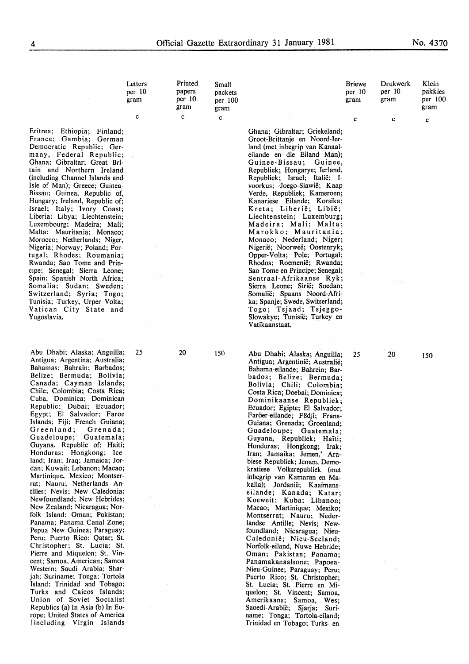Small packets per 100 gram c

Klein pakkies per 100 gram c

Briewe per 10 gram

Drukwerk per 10 gram

c

c

Letters per 10 gram

c

Printed papers per 10 gram

c

 $20$ 

150

Eritrea; Ethiopia; Finland; France; Gambia; German Democratic Republic; Germany, Federal Republic; Ghana; Gibraltar; Great Britain and Northern Ireland (including Channel Islands and Isle of Man); Greece; Guinea-Bissau; Guinea, Republic of, Hungary; Ireland, Republic of; Israel; Italy; Ivory Coast; Liberia; Libya; Liechtenstein; Luxembourg; Madeira; Mali; Malta; Mauritania; Monaco; Morocco; Netherlands; Niger, Nigeria; Norway; Poland; Portugal; Rhodes; Roumania; Rwanda; Sao Tome and Principe; Senegal; Sierra Leone; Spain; Spanish North Africa; Somalia; Sudan; Sweden; Switzerland; Syria; Togo; Tunisia; Turkey, Urper Volta; Vatican City State and Yugoslavia.

Abu Dhabi; Alaska; Anguilla; 25 Antigua; Argentina; Australia; Bahamas; Bahrain; Barbados; Belize; Bermuda; Bolivia; Canada; Cayman Islands; Chile; Colombia; Costa Rica; Cuba, Dominica; Dominican Republic; Dubai; Ecuador; Egypt; El Salvador; Faroe Islands; Fiji; French Guiana;<br>Greenland: Grenada; Greenland; Grenada;<br>Guadeloupe: Guatemala; Guadeloupe: Guyana, Republic of; Haiti; Honduras; Hongkong; Iceland; Iran; Iraq; Jamaica; Jordan; Kuwait; Lebanon; Macao; Martinique, Mexico; Montserrat; Nauru; Netherlands Antilles; Nevis; New Caledonia; Newfoundland; New Hebrides; New Zealand; Nicaragua; Norfolk Island; Oman; Pakistan; Panama; Panama Canal Zone; Pepua New Guinea; Paraguay; Peru; Puerto Rico; Qatar; St. Christopher; St. Lucia; St. Pierre and Miquelon; St. Vincent; Samoa, American; Samoa Western; Saudi Arabia; Sharjah; Suriname; Tonga; Tortola Island; Trinidad and Tobago; Turks and Caicos Islands; Union of Soviet Socialist Republics (a) In Asia (b) In Europe; United States of America Including Virgin Islands

Ghana; Gibraltar; Griekeland; Groot-Brittanje en Noord-Ierland (met inbegrip van Kanaaleilande en die Eiland Man); Guinee-Bissau; Guinee, Republiek; Hongarye; Ierland, Republiek; Israel; Italie; 1 voorkus; -Joego-Siawie; Kaap Verde, Republiek; Kameroen; Kanariese Eilande; Korsika; Kreta; Liberie; Libie; Liechtenstein; Luxemburg; Madeira; Mali; Malta; Marokko; Mauritania; Monaco; Nederland; Niger; Nigerie; Noorwee; Oostenryk; Opper-Volta; Pole; Portugal; Rhodos; Roemenie; Rwanda; Sao Tome en Principe; Senegal; Sentraai-Afrikaanse Ryk; Sierra Leone; Sirie; Soedan; Somalie; Spaans Noord-Afrika; Spanje; Swede, Switserland; Togo; Tsjaad; Tsjeggo-Slowakye; Tunisie; Turkey en Vatikaanstaat.

Abu Dhabi; Alaska; Anguilla; 25 Antigua; Argentinie; Australie; Bahama-eilande; Bahrein; Barbados; Belize; Bermuda; Bolivia; Chili; Colombia; Costa Rica; Doebai; Dominica; Dominikaanse Republiek; Ecuador; Egipte; El Salvador; Faröer-eilande; F8dji; Frans-Guiana; Grenada; Groenland; Guadeloupe; Guatemala; Guyana, Republiek; Haiti; Honduras; Hongkong; Irak; Iran; Jamaika; Jemen,' Arabiese Republiek; Jemen, Demokratiese Volksrepubliek (met inbegrip van Kamaran en Makalla); Jordanie; Kaaimanseilande; Kanada; Katar; Koeweit; Kuba; Libanon; Macao; Martinique; Mexiko; Montserrat; Nauru; Nederlandse Antille; Nevis; Newfoundland; Nicaragua; Nieu-C aledonie; Nieu-Seeland; Norfolk-eiland, Nuwe Hebride; Oman; Pakistan; Panama; Panamakanaalsone; Papoea-Nieu-Guinee; Paraguay; Peru; Puerto Rico; St. Christopher; St. Lucia; St. Pierre en Miquelon; St. Vincent; Samoa, Amerikaans; Samoa, Wes; Saoedi-Arabie; Sjarja; Suriname; Tonga; Tortola-eiland; Trinidad en Tobago; Turks- en

150

20